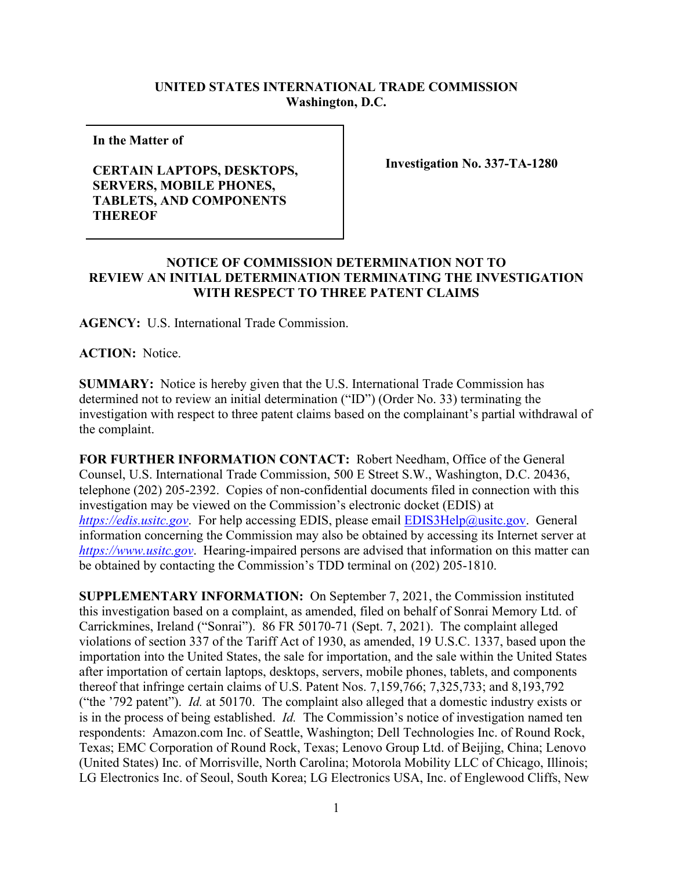## **UNITED STATES INTERNATIONAL TRADE COMMISSION Washington, D.C.**

**In the Matter of** 

## **CERTAIN LAPTOPS, DESKTOPS, SERVERS, MOBILE PHONES, TABLETS, AND COMPONENTS THEREOF**

**Investigation No. 337-TA-1280**

## **NOTICE OF COMMISSION DETERMINATION NOT TO REVIEW AN INITIAL DETERMINATION TERMINATING THE INVESTIGATION WITH RESPECT TO THREE PATENT CLAIMS**

**AGENCY:** U.S. International Trade Commission.

**ACTION:** Notice.

**SUMMARY:** Notice is hereby given that the U.S. International Trade Commission has determined not to review an initial determination ("ID") (Order No. 33) terminating the investigation with respect to three patent claims based on the complainant's partial withdrawal of the complaint.

**FOR FURTHER INFORMATION CONTACT:** Robert Needham, Office of the General Counsel, U.S. International Trade Commission, 500 E Street S.W., Washington, D.C. 20436, telephone (202) 205-2392. Copies of non-confidential documents filed in connection with this investigation may be viewed on the Commission's electronic docket (EDIS) at *[https://edis.usitc.gov](https://edis.usitc.gov/).* For help accessing EDIS, please email [EDIS3Help@usitc.gov.](mailto:EDIS3Help@usitc.gov) General information concerning the Commission may also be obtained by accessing its Internet server at *[https://www.usitc.gov](https://www.usitc.gov/)*. Hearing-impaired persons are advised that information on this matter can be obtained by contacting the Commission's TDD terminal on (202) 205-1810.

**SUPPLEMENTARY INFORMATION:** On September 7, 2021, the Commission instituted this investigation based on a complaint, as amended, filed on behalf of Sonrai Memory Ltd. of Carrickmines, Ireland ("Sonrai"). 86 FR 50170-71 (Sept. 7, 2021). The complaint alleged violations of section 337 of the Tariff Act of 1930, as amended, 19 U.S.C. 1337, based upon the importation into the United States, the sale for importation, and the sale within the United States after importation of certain laptops, desktops, servers, mobile phones, tablets, and components thereof that infringe certain claims of U.S. Patent Nos. 7,159,766; 7,325,733; and 8,193,792 ("the '792 patent"). *Id.* at 50170. The complaint also alleged that a domestic industry exists or is in the process of being established. *Id.* The Commission's notice of investigation named ten respondents: Amazon.com Inc. of Seattle, Washington; Dell Technologies Inc. of Round Rock, Texas; EMC Corporation of Round Rock, Texas; Lenovo Group Ltd. of Beijing, China; Lenovo (United States) Inc. of Morrisville, North Carolina; Motorola Mobility LLC of Chicago, Illinois; LG Electronics Inc. of Seoul, South Korea; LG Electronics USA, Inc. of Englewood Cliffs, New